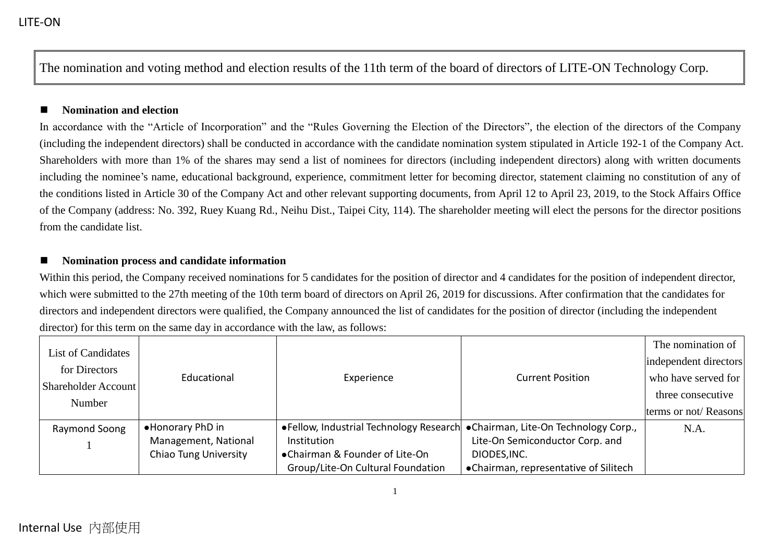The nomination and voting method and election results of the 11th term of the board of directors of LITE-ON Technology Corp.

## ◼ **Nomination and election**

In accordance with the "Article of Incorporation" and the "Rules Governing the Election of the Directors", the election of the directors of the Company (including the independent directors) shall be conducted in accordance with the candidate nomination system stipulated in Article 192-1 of the Company Act. Shareholders with more than 1% of the shares may send a list of nominees for directors (including independent directors) along with written documents including the nominee's name, educational background, experience, commitment letter for becoming director, statement claiming no constitution of any of the conditions listed in Article 30 of the Company Act and other relevant supporting documents, from April 12 to April 23, 2019, to the Stock Affairs Office of the Company (address: No. 392, Ruey Kuang Rd., Neihu Dist., Taipei City, 114). The shareholder meeting will elect the persons for the director positions from the candidate list.

## ◼ **Nomination process and candidate information**

Within this period, the Company received nominations for 5 candidates for the position of director and 4 candidates for the position of independent director, which were submitted to the 27th meeting of the 10th term board of directors on April 26, 2019 for discussions. After confirmation that the candidates for directors and independent directors were qualified, the Company announced the list of candidates for the position of director (including the independent director) for this term on the same day in accordance with the law, as follows:

| List of Candidates  |                       |                                                                                |                                       | The nomination of     |
|---------------------|-----------------------|--------------------------------------------------------------------------------|---------------------------------------|-----------------------|
|                     |                       |                                                                                |                                       | independent directors |
| for Directors       | Educational           | Experience                                                                     | <b>Current Position</b>               | who have served for   |
| Shareholder Account |                       |                                                                                |                                       | three consecutive     |
| Number              |                       |                                                                                |                                       | terms or not/Reasons  |
|                     |                       |                                                                                |                                       |                       |
| Raymond Soong       | •Honorary PhD in      | • Fellow, Industrial Technology Research • Chairman, Lite-On Technology Corp., |                                       | N.A.                  |
|                     | Management, National  | Institution                                                                    | Lite-On Semiconductor Corp. and       |                       |
|                     | Chiao Tung University | •Chairman & Founder of Lite-On                                                 | DIODES, INC.                          |                       |
|                     |                       | Group/Lite-On Cultural Foundation                                              | •Chairman, representative of Silitech |                       |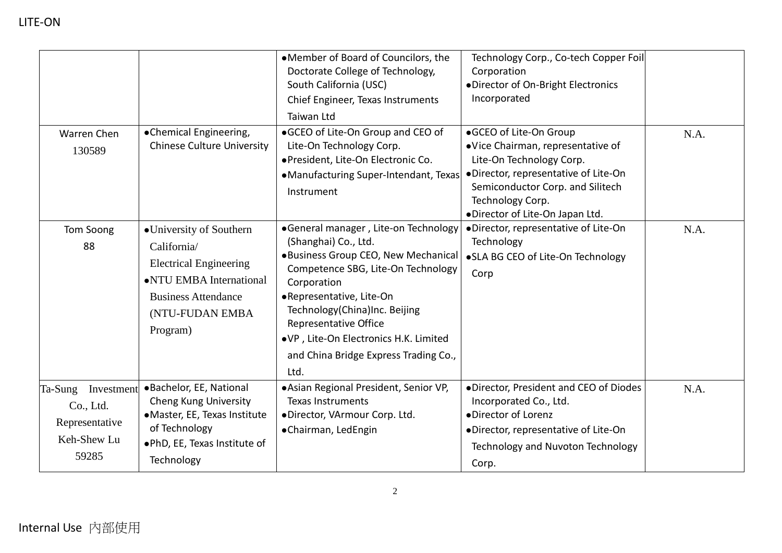|                                                                           |                                                                                                                                                                 | • Member of Board of Councilors, the<br>Doctorate College of Technology,<br>South California (USC)<br>Chief Engineer, Texas Instruments<br><b>Taiwan Ltd</b>                                                                                                                                                                              | Technology Corp., Co-tech Copper Foil<br>Corporation<br>•Director of On-Bright Electronics<br>Incorporated                                                                                                                 |      |
|---------------------------------------------------------------------------|-----------------------------------------------------------------------------------------------------------------------------------------------------------------|-------------------------------------------------------------------------------------------------------------------------------------------------------------------------------------------------------------------------------------------------------------------------------------------------------------------------------------------|----------------------------------------------------------------------------------------------------------------------------------------------------------------------------------------------------------------------------|------|
| Warren Chen<br>130589                                                     | •Chemical Engineering,<br><b>Chinese Culture University</b>                                                                                                     | •GCEO of Lite-On Group and CEO of<br>Lite-On Technology Corp.<br>·President, Lite-On Electronic Co.<br>•Manufacturing Super-Intendant, Texas<br>Instrument                                                                                                                                                                                | ●GCEO of Lite-On Group<br>•Vice Chairman, representative of<br>Lite-On Technology Corp.<br>·Director, representative of Lite-On<br>Semiconductor Corp. and Silitech<br>Technology Corp.<br>.Director of Lite-On Japan Ltd. | N.A. |
| Tom Soong<br>88                                                           | •University of Southern<br>California/<br><b>Electrical Engineering</b><br>•NTU EMBA International<br><b>Business Attendance</b><br>(NTU-FUDAN EMBA<br>Program) | •General manager, Lite-on Technology<br>(Shanghai) Co., Ltd.<br>· Business Group CEO, New Mechanical<br>Competence SBG, Lite-On Technology<br>Corporation<br>·Representative, Lite-On<br>Technology(China)Inc. Beijing<br>Representative Office<br>.VP, Lite-On Electronics H.K. Limited<br>and China Bridge Express Trading Co.,<br>Ltd. | ·Director, representative of Lite-On<br>Technology<br>•SLA BG CEO of Lite-On Technology<br>Corp                                                                                                                            | N.A. |
| Ta-Sung Investment<br>Co., Ltd.<br>Representative<br>Keh-Shew Lu<br>59285 | •Bachelor, EE, National<br>Cheng Kung University<br>·Master, EE, Texas Institute<br>of Technology<br>. PhD, EE, Texas Institute of<br>Technology                | ·Asian Regional President, Senior VP,<br><b>Texas Instruments</b><br>·Director, VArmour Corp. Ltd.<br>•Chairman, LedEngin                                                                                                                                                                                                                 | ·Director, President and CEO of Diodes<br>Incorporated Co., Ltd.<br>·Director of Lorenz<br>•Director, representative of Lite-On<br>Technology and Nuvoton Technology<br>Corp.                                              | N.A. |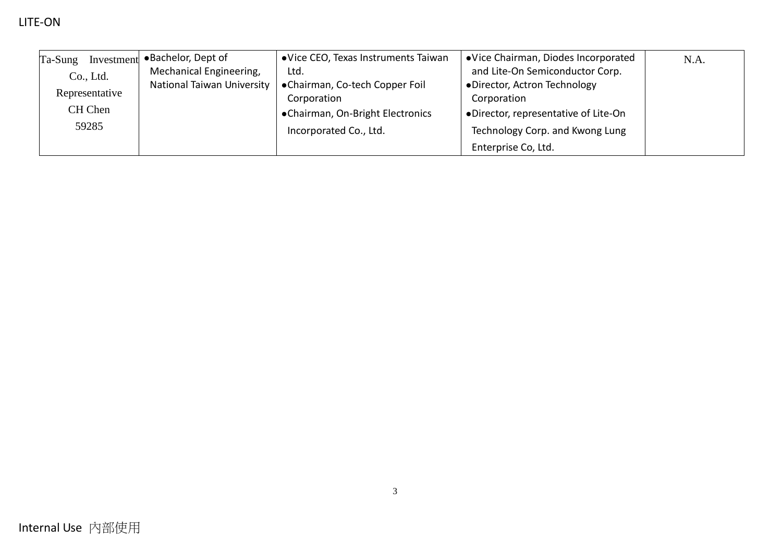## LITE-ON

| Ta-Sung        | Investment . Bachelor, Dept of | •Vice CEO, Texas Instruments Taiwan | •Vice Chairman, Diodes Incorporated  | N.A. |
|----------------|--------------------------------|-------------------------------------|--------------------------------------|------|
| Co., Ltd.      | Mechanical Engineering,        | Ltd.                                | and Lite-On Semiconductor Corp.      |      |
| Representative | National Taiwan University     | •Chairman, Co-tech Copper Foil      | ·Director, Actron Technology         |      |
|                |                                | Corporation                         | Corporation                          |      |
| CH Chen        |                                | •Chairman, On-Bright Electronics    | ·Director, representative of Lite-On |      |
| 59285          |                                | Incorporated Co., Ltd.              | Technology Corp. and Kwong Lung      |      |
|                |                                |                                     | Enterprise Co, Ltd.                  |      |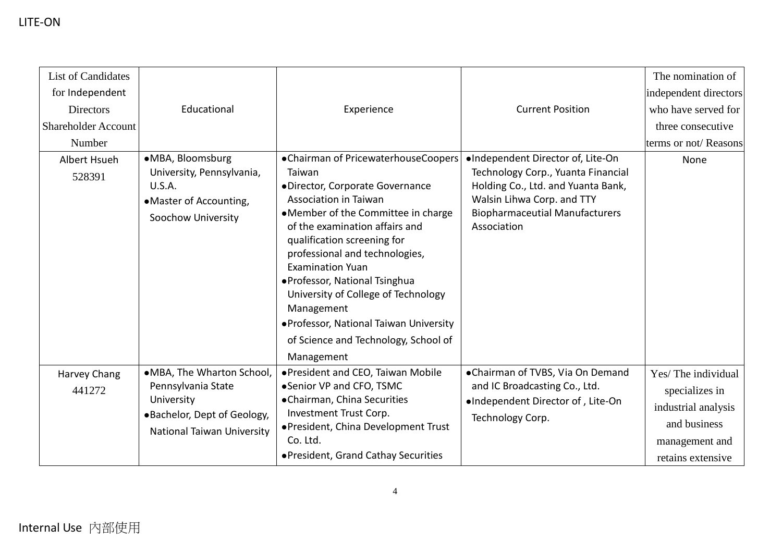| <b>List of Candidates</b><br>for Independent<br><b>Directors</b><br><b>Shareholder Account</b> | Educational                                                                                                                | Experience                                                                                                                                                                                                                                                                                                                                                                                                                                                                   | <b>Current Position</b>                                                                                                                                                                             | The nomination of<br>independent directors<br>who have served for<br>three consecutive                             |
|------------------------------------------------------------------------------------------------|----------------------------------------------------------------------------------------------------------------------------|------------------------------------------------------------------------------------------------------------------------------------------------------------------------------------------------------------------------------------------------------------------------------------------------------------------------------------------------------------------------------------------------------------------------------------------------------------------------------|-----------------------------------------------------------------------------------------------------------------------------------------------------------------------------------------------------|--------------------------------------------------------------------------------------------------------------------|
| Number                                                                                         |                                                                                                                            |                                                                                                                                                                                                                                                                                                                                                                                                                                                                              |                                                                                                                                                                                                     | terms or not/Reasons                                                                                               |
| Albert Hsueh<br>528391                                                                         | ·MBA, Bloomsburg<br>University, Pennsylvania,<br><b>U.S.A.</b><br>•Master of Accounting,<br>Soochow University             | •Chairman of PricewaterhouseCoopers<br>Taiwan<br>·Director, Corporate Governance<br><b>Association in Taiwan</b><br>•Member of the Committee in charge<br>of the examination affairs and<br>qualification screening for<br>professional and technologies,<br><b>Examination Yuan</b><br>· Professor, National Tsinghua<br>University of College of Technology<br>Management<br>• Professor, National Taiwan University<br>of Science and Technology, School of<br>Management | ·Independent Director of, Lite-On<br>Technology Corp., Yuanta Financial<br>Holding Co., Ltd. and Yuanta Bank,<br>Walsin Lihwa Corp. and TTY<br><b>Biopharmaceutial Manufacturers</b><br>Association | None                                                                                                               |
| Harvey Chang<br>441272                                                                         | ·MBA, The Wharton School,<br>Pennsylvania State<br>University<br>•Bachelor, Dept of Geology,<br>National Taiwan University | • President and CEO, Taiwan Mobile<br>•Senior VP and CFO, TSMC<br>•Chairman, China Securities<br>Investment Trust Corp.<br>·President, China Development Trust<br>Co. Ltd.<br>·President, Grand Cathay Securities                                                                                                                                                                                                                                                            | •Chairman of TVBS, Via On Demand<br>and IC Broadcasting Co., Ltd.<br>·Independent Director of, Lite-On<br>Technology Corp.                                                                          | Yes/The individual<br>specializes in<br>industrial analysis<br>and business<br>management and<br>retains extensive |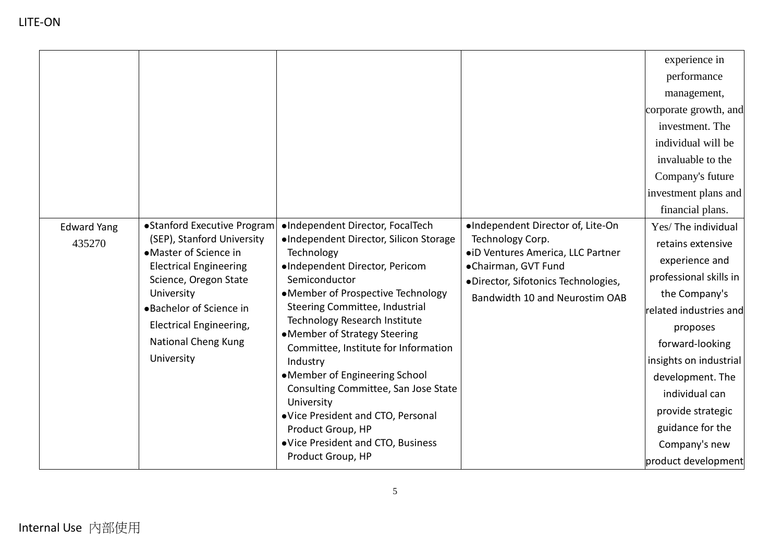| <b>Edward Yang</b> | • Stanford Executive Program                                                                                                                                                                                                   | ·Independent Director, FocalTech                                                                                                                                                                                                                                                                                                                                                                                                                                                                               | ·Independent Director of, Lite-On                                                                                                                      | experience in<br>performance<br>management,<br>corporate growth, and<br>investment. The<br>individual will be<br>invaluable to the<br>Company's future<br>investment plans and<br>financial plans.<br>Yes/ The individual                                                                |
|--------------------|--------------------------------------------------------------------------------------------------------------------------------------------------------------------------------------------------------------------------------|----------------------------------------------------------------------------------------------------------------------------------------------------------------------------------------------------------------------------------------------------------------------------------------------------------------------------------------------------------------------------------------------------------------------------------------------------------------------------------------------------------------|--------------------------------------------------------------------------------------------------------------------------------------------------------|------------------------------------------------------------------------------------------------------------------------------------------------------------------------------------------------------------------------------------------------------------------------------------------|
| 435270             | (SEP), Stanford University<br>•Master of Science in<br><b>Electrical Engineering</b><br>Science, Oregon State<br>University<br>• Bachelor of Science in<br>Electrical Engineering,<br><b>National Cheng Kung</b><br>University | •Independent Director, Silicon Storage<br>Technology<br>·Independent Director, Pericom<br>Semiconductor<br>•Member of Prospective Technology<br>Steering Committee, Industrial<br>Technology Research Institute<br>•Member of Strategy Steering<br>Committee, Institute for Information<br>Industry<br>•Member of Engineering School<br>Consulting Committee, San Jose State<br>University<br>•Vice President and CTO, Personal<br>Product Group, HP<br>•Vice President and CTO, Business<br>Product Group, HP | Technology Corp.<br>• iD Ventures America, LLC Partner<br>•Chairman, GVT Fund<br>·Director, Sifotonics Technologies,<br>Bandwidth 10 and Neurostim OAB | retains extensive<br>experience and<br>professional skills in<br>the Company's<br>related industries and<br>proposes<br>forward-looking<br>insights on industrial<br>development. The<br>individual can<br>provide strategic<br>guidance for the<br>Company's new<br>product development |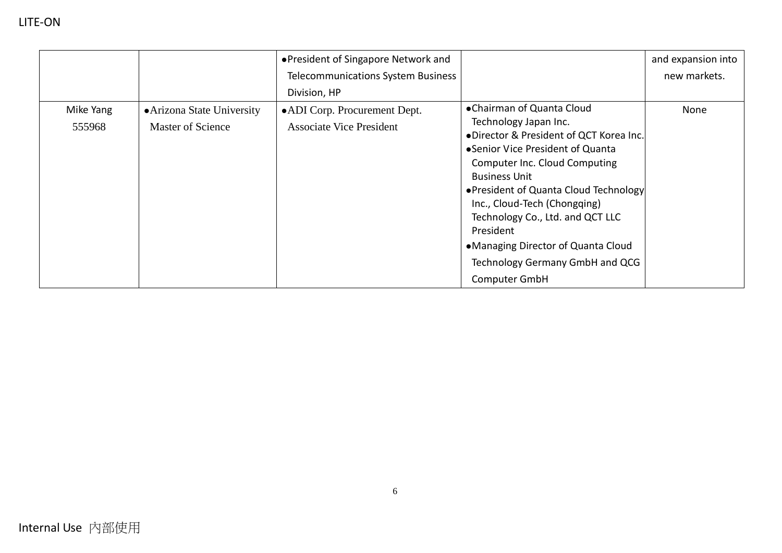|           |                            | • President of Singapore Network and      |                                         | and expansion into |
|-----------|----------------------------|-------------------------------------------|-----------------------------------------|--------------------|
|           |                            | <b>Telecommunications System Business</b> |                                         | new markets.       |
|           |                            | Division, HP                              |                                         |                    |
| Mike Yang | • Arizona State University | • ADI Corp. Procurement Dept.             | •Chairman of Quanta Cloud               | None               |
| 555968    | <b>Master of Science</b>   | <b>Associate Vice President</b>           | Technology Japan Inc.                   |                    |
|           |                            |                                           | .Director & President of QCT Korea Inc. |                    |
|           |                            |                                           | •Senior Vice President of Quanta        |                    |
|           |                            |                                           | Computer Inc. Cloud Computing           |                    |
|           |                            |                                           | <b>Business Unit</b>                    |                    |
|           |                            |                                           | • President of Quanta Cloud Technology  |                    |
|           |                            |                                           | Inc., Cloud-Tech (Chongqing)            |                    |
|           |                            |                                           | Technology Co., Ltd. and QCT LLC        |                    |
|           |                            |                                           | President                               |                    |
|           |                            |                                           | • Managing Director of Quanta Cloud     |                    |
|           |                            |                                           | Technology Germany GmbH and QCG         |                    |
|           |                            |                                           | <b>Computer GmbH</b>                    |                    |